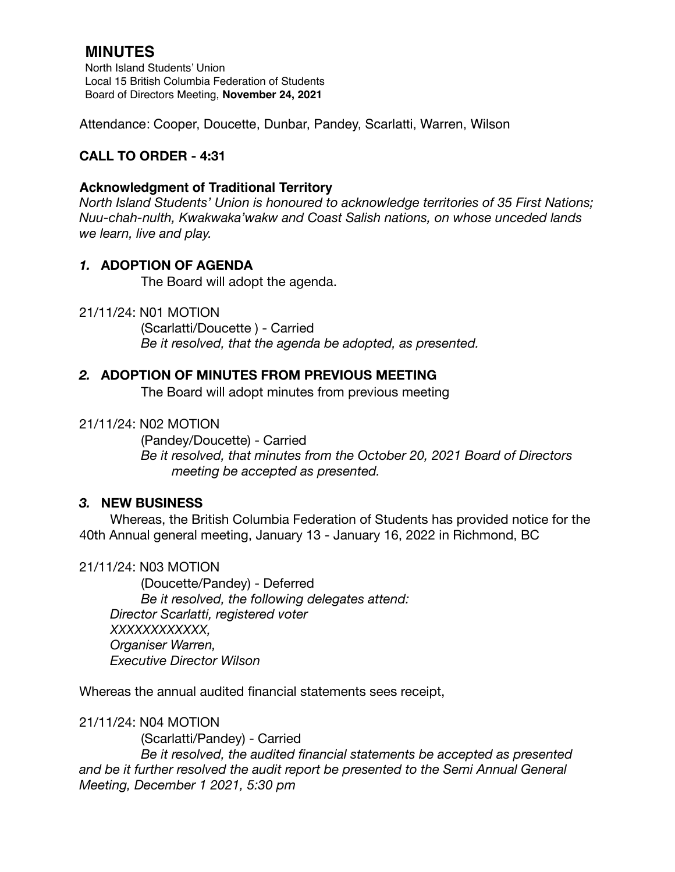# **MINUTES**

North Island Students' Union Local 15 British Columbia Federation of Students Board of Directors Meeting, **November 24, 2021**

Attendance: Cooper, Doucette, Dunbar, Pandey, Scarlatti, Warren, Wilson

# **CALL TO ORDER - 4:31**

## **Acknowledgment of Traditional Territory**

*North Island Students' Union is honoured to acknowledge territories of 35 First Nations; Nuu-chah-nulth, Kwakwaka'wakw and Coast Salish nations, on whose unceded lands we learn, live and play.*

## *1.* **ADOPTION OF AGENDA**

The Board will adopt the agenda.

#### 21/11/24: N01 MOTION

 (Scarlatti/Doucette ) - Carried *Be it resolved, that the agenda be adopted, as presented.* 

## *2.* **ADOPTION OF MINUTES FROM PREVIOUS MEETING**

The Board will adopt minutes from previous meeting

#### 21/11/24: N02 MOTION

(Pandey/Doucette) - Carried *Be it resolved, that minutes from the October 20, 2021 Board of Directors meeting be accepted as presented.* 

#### *3.* **NEW BUSINESS**

Whereas, the British Columbia Federation of Students has provided notice for the 40th Annual general meeting, January 13 - January 16, 2022 in Richmond, BC

#### 21/11/24: N03 MOTION

(Doucette/Pandey) - Deferred *Be it resolved, the following delegates attend: Director Scarlatti, registered voter XXXXXXXXXXXX, Organiser Warren, Executive Director Wilson* 

Whereas the annual audited financial statements sees receipt,

#### 21/11/24: N04 MOTION

(Scarlatti/Pandey) - Carried

 *Be it resolved, the audited financial statements be accepted as presented and be it further resolved the audit report be presented to the Semi Annual General Meeting, December 1 2021, 5:30 pm*